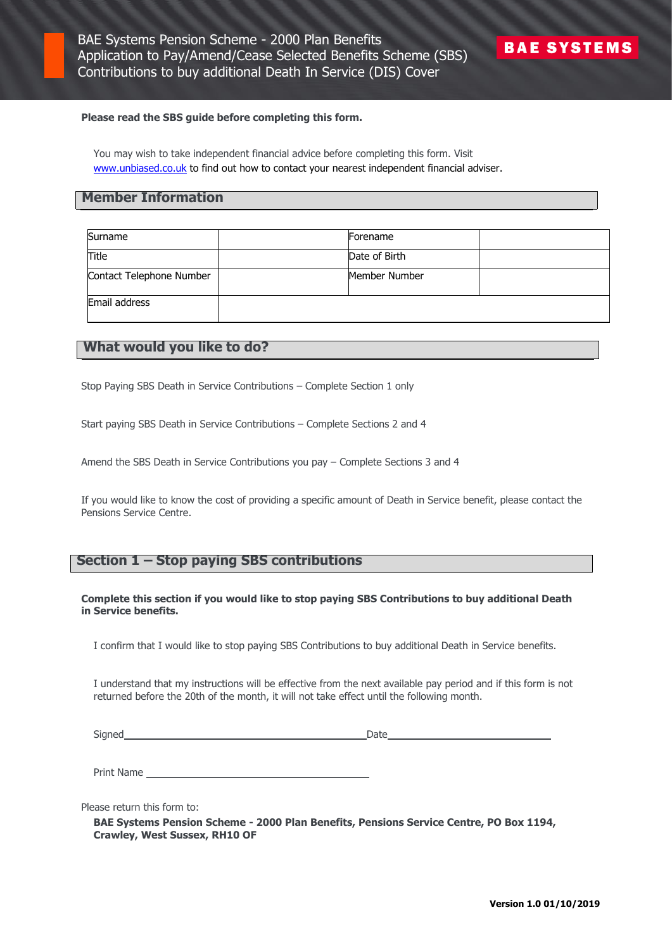## **Please read the SBS guide before completing this form.**

You may wish to take independent financial advice before completing this form. Visit [www.unbiased.co.uk](http://www.unbiased.co.uk/) to find out how to contact your nearest independent financial adviser.

## **Member Information**

| Surname                  | Forename      |  |
|--------------------------|---------------|--|
| Title                    | Date of Birth |  |
| Contact Telephone Number | Member Number |  |
| Email address            |               |  |

# **What would you like to do?**

Stop Paying SBS Death in Service Contributions – Complete Section 1 only

Start paying SBS Death in Service Contributions – Complete Sections 2 and 4

Amend the SBS Death in Service Contributions you pay – Complete Sections 3 and 4

If you would like to know the cost of providing a specific amount of Death in Service benefit, please contact the Pensions Service Centre.

# **Section 1 – Stop paying SBS contributions**

## **Complete this section if you would like to stop paying SBS Contributions to buy additional Death in Service benefits.**

I confirm that I would like to stop paying SBS Contributions to buy additional Death in Service benefits.

I understand that my instructions will be effective from the next available pay period and if this form is not returned before the 20th of the month, it will not take effect until the following month.

Signed Date

Print Name

Please return this form to:

**BAE Systems Pension Scheme - 2000 Plan Benefits, Pensions Service Centre, PO Box 1194, Crawley, West Sussex, RH10 OF**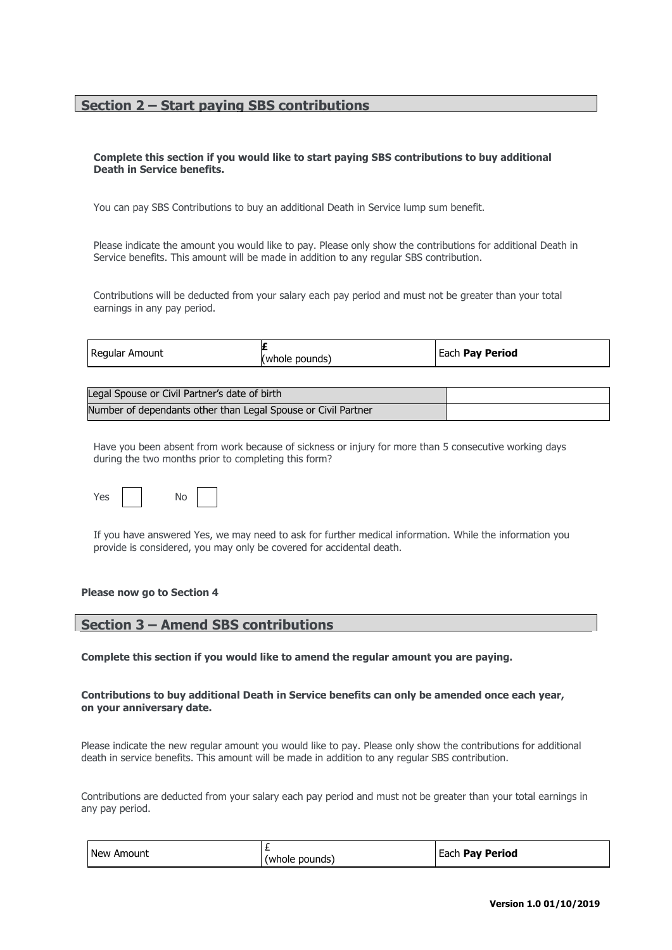# **Section 2 – Start paying SBS contributions**

## **Complete this section if you would like to start paying SBS contributions to buy additional Death in Service benefits.**

You can pay SBS Contributions to buy an additional Death in Service lump sum benefit.

Please indicate the amount you would like to pay. Please only show the contributions for additional Death in Service benefits. This amount will be made in addition to any regular SBS contribution.

Contributions will be deducted from your salary each pay period and must not be greater than your total earnings in any pay period.

|  | Regular Amount | pounds)<br>(whole) | Each Pay Period |
|--|----------------|--------------------|-----------------|
|--|----------------|--------------------|-----------------|

| Legal Spouse or Civil Partner's date of birth                 |  |
|---------------------------------------------------------------|--|
| Number of dependants other than Legal Spouse or Civil Partner |  |

Have you been absent from work because of sickness or injury for more than 5 consecutive working days during the two months prior to completing this form?



If you have answered Yes, we may need to ask for further medical information. While the information you provide is considered, you may only be covered for accidental death.

#### **Please now go to Section 4**

# **Section 3 – Amend SBS contributions**

**Complete this section if you would like to amend the regular amount you are paying.**

## **Contributions to buy additional Death in Service benefits can only be amended once each year, on your anniversary date.**

Please indicate the new regular amount you would like to pay. Please only show the contributions for additional death in service benefits. This amount will be made in addition to any regular SBS contribution.

Contributions are deducted from your salary each pay period and must not be greater than your total earnings in any pay period.

| l New Amount | (whole pounds) | <b>Each Pay Period</b> |
|--------------|----------------|------------------------|
|--------------|----------------|------------------------|